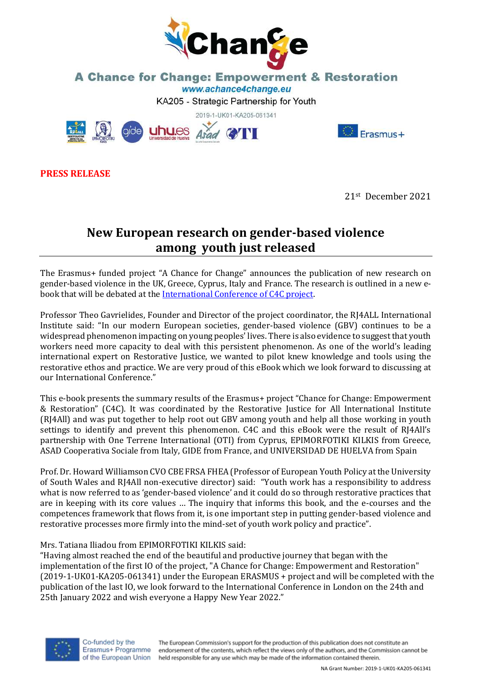

## **A Chance for Change: Empowerment & Restoration** www.achance4change.eu

KA205 - Strategic Partnership for Youth



**PRESS RELEASE**

21st December 2021

Frasmus+

## **New European research on gender-based violence among youth just released**

The Erasmus+ funded project "A Chance for Change" announces the publication of new research on gender-based violence in the UK, Greece, Cyprus, Italy and France. The research is outlined in a new ebook that will be debated at the [International Conference of C4C project.](https://achance4change.eu/index.php/meetings/events/26-conference-24th-of-january-2022)

Professor Theo Gavrielides, Founder and Director of the project coordinator, the RJ4ALL International Institute said: "In our modern European societies, gender-based violence (GBV) continues to be a widespread phenomenon impacting on young peoples' lives. There is also evidence to suggest that youth workers need more capacity to deal with this persistent phenomenon. As one of the world's leading international expert on Restorative Justice, we wanted to pilot knew knowledge and tools using the restorative ethos and practice. We are very proud of this eBook which we look forward to discussing at our International Conference."

This e-book presents the summary results of the Erasmus+ project "Chance for Change: Empowerment & Restoration" (C4C). It was coordinated by the Restorative Justice for All International Institute (RJ4All) and was put together to help root out GBV among youth and help all those working in youth settings to identify and prevent this phenomenon. C4C and this eBook were the result of RJ4All's partnership with One Terrene International (OTI) from Cyprus, EPIMORFOTIKI KILKIS from Greece, ASAD Cooperativa Sociale from Italy, GIDE from France, and UNIVERSIDAD DE HUELVA from Spain

Prof. Dr. Howard Williamson CVO CBE FRSA FHEA (Professor of European Youth Policy at the University of South Wales and RJ4All non-executive director) said: "Youth work has a responsibility to address what is now referred to as 'gender-based violence' and it could do so through restorative practices that are in keeping with its core values … The inquiry that informs this book, and the e-courses and the competences framework that flows from it, is one important step in putting gender-based violence and restorative processes more firmly into the mind-set of youth work policy and practice".

## Mrs. Tatiana Iliadou from EPIMORFOTIKI KILKIS said:

"Having almost reached the end of the beautiful and productive journey that began with the implementation of the first IO of the project, "A Chance for Change: Empowerment and Restoration" (2019-1-UK01-KA205-061341) under the European ERASMUS + project and will be completed with the publication of the last IO, we look forward to the International Conference in London on the 24th and 25th January 2022 and wish everyone a Happy New Year 2022."